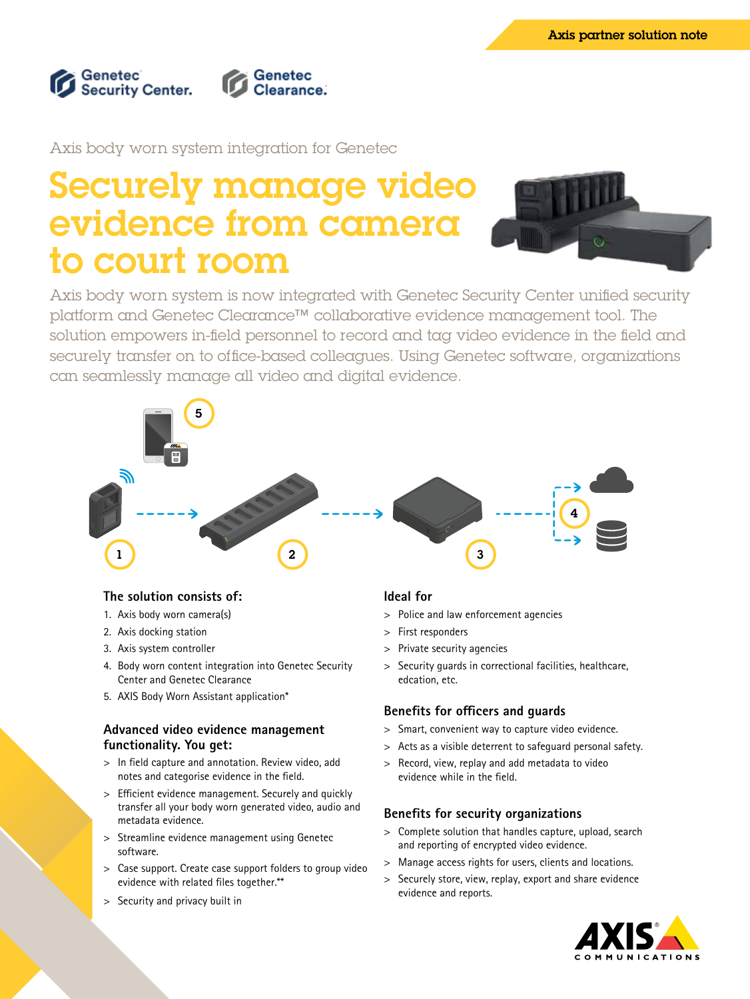

Axis body worn system integration for Genetec

# Securely manage video evidence from camera to court room



Axis body worn system is now integrated with Genetec Security Center unified security platform and Genetec Clearance™ collaborative evidence management tool. The solution empowers in-field personnel to record and tag video evidence in the field and securely transfer on to office-based colleagues. Using Genetec software, organizations can seamlessly manage all video and digital evidence.



## **The solution consists of:**

- 1. Axis body worn camera(s)
- 2. Axis docking station
- 3. Axis system controller
- 4. Body worn content integration into Genetec Security Center and Genetec Clearance
- 5. AXIS Body Worn Assistant application\*

#### **Advanced video evidence management functionality. You get:**

- > In field capture and annotation. Review video, add notes and categorise evidence in the field.
- > Efficient evidence management. Securely and quickly transfer all your body worn generated video, audio and metadata evidence.
- > Streamline evidence management using Genetec software.
- > Case support. Create case support folders to group video evidence with related files together.\*\*
- > Security and privacy built in

#### **Ideal for**

- > Police and law enforcement agencies
- > First responders
- > Private security agencies
- > Security guards in correctional facilities, healthcare, edcation, etc.

#### **Benefits for officers and guards**

- > Smart, convenient way to capture video evidence.
- > Acts as a visible deterrent to safeguard personal safety.
- > Record, view, replay and add metadata to video evidence while in the field.

#### **Benefits for security organizations**

- > Complete solution that handles capture, upload, search and reporting of encrypted video evidence.
- > Manage access rights for users, clients and locations.
- > Securely store, view, replay, export and share evidence evidence and reports.